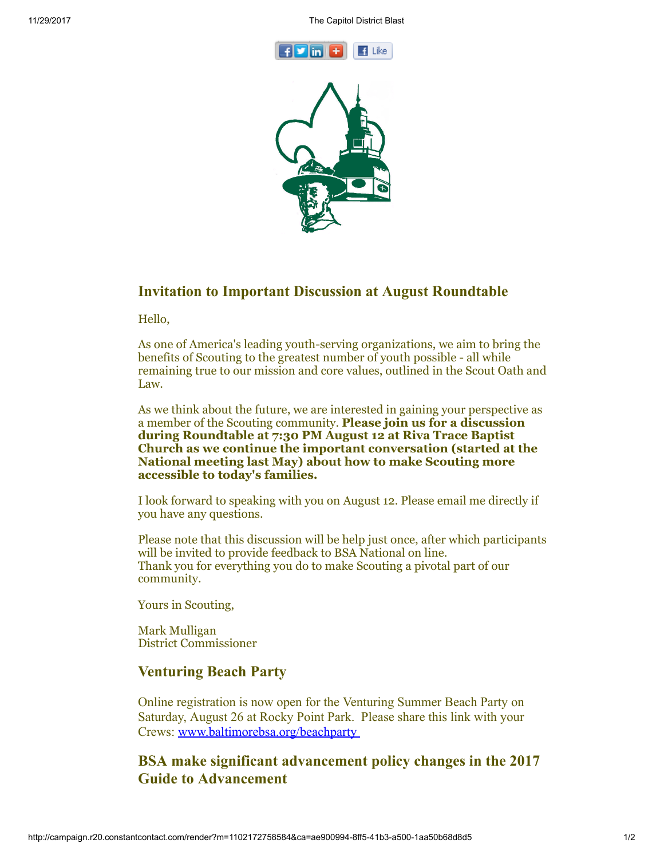



## Invitation to Important Discussion at August Roundtable

Hello,

As one of America's leading youth-serving organizations, we aim to bring the benefits of Scouting to the greatest number of youth possible - all while remaining true to our mission and core values, outlined in the Scout Oath and Law.

As we think about the future, we are interested in gaining your perspective as a member of the Scouting community. Please join us for a discussion during Roundtable at 7:30 PM August 12 at Riva Trace Baptist Church as we continue the important conversation (started at the National meeting last May) about how to make Scouting more accessible to today's families.

I look forward to speaking with you on August 12. Please email me directly if you have any questions.

Please note that this discussion will be help just once, after which participants will be invited to provide feedback to BSA National on line. Thank you for everything you do to make Scouting a pivotal part of our community.

Yours in Scouting,

Mark Mulligan District Commissioner

## Venturing Beach Party

Online registration is now open for the Venturing Summer Beach Party on Saturday, August 26 at Rocky Point Park. Please share this link with your Crews: [www.baltimorebsa.org/beachparty](http://www.baltimorebsa.org/beachparty)

# BSA make significant advancement policy changes in the 2017 Guide to Advancement